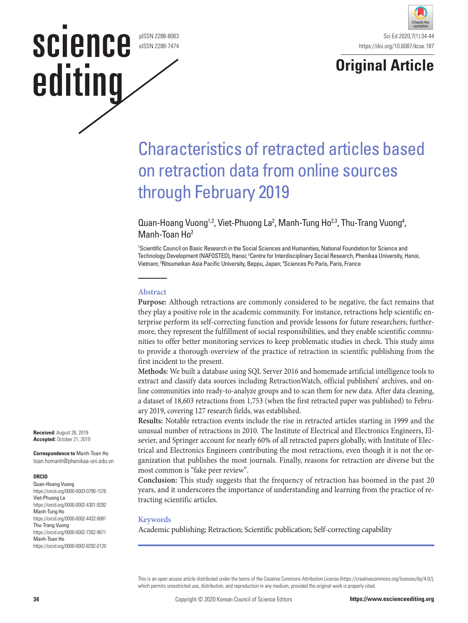pISSN 2288-8063 eISSN 2288-7474

**SCIENCE** 

editing



### **Original Article**

## Characteristics of retracted articles based on retraction data from online sources through February 2019

Quan-Hoang Vuong<sup>1,2</sup>, Viet-Phuong La<sup>2</sup>, Manh-Tung Ho<sup>2,3</sup>, Thu-Trang Vuong<sup>4</sup>, Manh-Toan Ho<sup>2</sup>

1 Scientific Council on Basic Research in the Social Sciences and Humanities, National Foundation for Science and Technology Development (NAFOSTED), Hanoi; <sup>2</sup>Centre for Interdisciplinary Social Research, Phenikaa University, Hanoi, Vietnam; 3 Ritsumeikan Asia Pacific University, Beppu, Japan; 4 Sciences Po Paris, Paris, France

### **Abstract**

**Purpose:** Although retractions are commonly considered to be negative, the fact remains that they play a positive role in the academic community. For instance, retractions help scientific enterprise perform its self-correcting function and provide lessons for future researchers; furthermore, they represent the fulfillment of social responsibilities, and they enable scientific communities to offer better monitoring services to keep problematic studies in check. This study aims to provide a thorough overview of the practice of retraction in scientific publishing from the first incident to the present.

**Methods:** We built a database using SQL Server 2016 and homemade artificial intelligence tools to extract and classify data sources including RetractionWatch, official publishers' archives, and online communities into ready-to-analyze groups and to scan them for new data. After data cleaning, a dataset of 18,603 retractions from 1,753 (when the first retracted paper was published) to February 2019, covering 127 research fields, was established.

**Results:** Notable retraction events include the rise in retracted articles starting in 1999 and the unusual number of retractions in 2010. The Institute of Electrical and Electronics Engineers, Elsevier, and Springer account for nearly 60% of all retracted papers globally, with Institute of Electrical and Electronics Engineers contributing the most retractions, even though it is not the organization that publishes the most journals. Finally, reasons for retraction are diverse but the most common is "fake peer review".

**Conclusion:** This study suggests that the frequency of retraction has boomed in the past 20 years, and it underscores the importance of understanding and learning from the practice of retracting scientific articles.

### **Keywords**

Academic publishing; Retraction; Scientific publication; Self-correcting capability

This is an open access article distributed under the terms of the Creative Commons Attribution License (https://creativecommons.org/licenses/by/4.0/), which permits unrestricted use, distribution, and reproduction in any medium, provided the original work is properly cited.

**Received:** August 26, 2019 **Accepted:** October 21, 2019

**Correspondence to** Manh-Toan Ho toan.homanh@phenikaa-uni.edu.vn

#### **ORCID**

Quan-Hoang Vuong https://orcid.org/0000-0003-0790-1576 Viet-Phuong La https://orcid.org/0000-0002-4301-9292 Manh-Tung Ho https://orcid.org/0000-0002-4432-9081 Thu-Trang Vuong https://orcid.org/0000-0002-7262-9671 Manh-Toan Ho https://orcid.org/0000-0002-8292-0120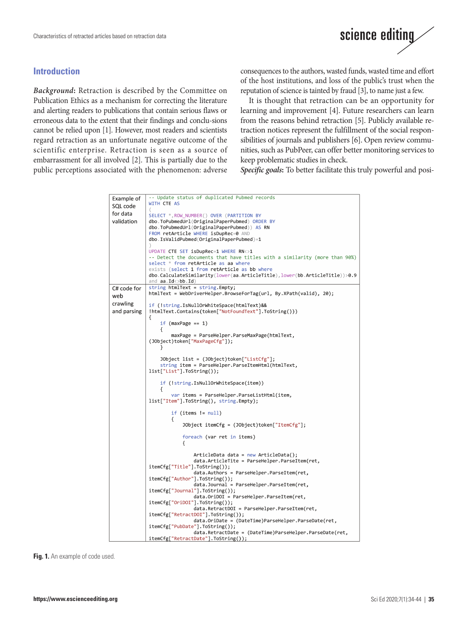### **Introduction**

*Background***:** Retraction is described by the Committee on Publication Ethics as a mechanism for correcting the literature and alerting readers to publications that contain serious flaws or erroneous data to the extent that their findings and conclu-sions cannot be relied upon [1]. However, most readers and scientists regard retraction as an unfortunate negative outcome of the scientific enterprise. Retraction is seen as a source of embarrassment for all involved [2]. This is partially due to the public perceptions associated with the phenomenon: adverse

consequences to the authors, wasted funds, wasted time and effort of the host institutions, and loss of the public's trust when the reputation of science is tainted by fraud [3], to name just a few.

It is thought that retraction can be an opportunity for learning and improvement [4]. Future researchers can learn from the reasons behind retraction [5]. Publicly available retraction notices represent the fulfillment of the social responsibilities of journals and publishers [6]. Open review communities, such as PubPeer, can offer better monitoring services to keep problematic studies in check.

*Specific goals***:** To better facilitate this truly powerful and posi-

| Example of  | -- Update status of duplicated Pubmed records<br>WITH CTE AS                |
|-------------|-----------------------------------------------------------------------------|
| SQL code    |                                                                             |
| for data    | SELECT *, ROW_NUMBER() OVER (PARTITION BY                                   |
| validation  | dbo.ToPubmedUrl(OriginalPaperPubmed) ORDER BY                               |
|             | dbo.ToPubmedUrl(OriginalPaperPubmed)) AS RN                                 |
|             | FROM retArticle WHERE isDupRec=0 AND                                        |
|             | dbo.IsValidPubmed(OriginalPaperPubmed)=1                                    |
|             |                                                                             |
|             | UPDATE CTE SET isDupRec=1 WHERE RN<>1                                       |
|             | -- Detect the documents that have titles with a similarity (more than 90%)  |
|             | select * from retArticle as aa where                                        |
|             | exists (select 1 from retArticle as bb where                                |
|             | dbo.CalculateSimilarity(lower(aa.ArticleTitle),lower(bb.ArticleTitle))>0.9  |
|             | and aa.Id<>bb.Id)                                                           |
| C# code for | string htmlText = string.Empty;                                             |
| web         | htmlText = WebDriverHelper.BrowseForTag(url, By.XPath(valid), 20);          |
| crawling    |                                                                             |
|             | if (!string.IsNullOrWhiteSpace(htmlText)&&                                  |
| and parsing | !htmlText.Contains(token["NotFoundText"].ToString()))                       |
|             | €                                                                           |
|             | $if$ (maxPage == 1)<br>ſ                                                    |
|             | maxPage = ParseHelper.ParseMaxPage(htmlText,                                |
|             | (JObject)token["MaxPageCfg"]);                                              |
|             |                                                                             |
|             |                                                                             |
|             | JObject list = (JObject)token["ListCfg"];                                   |
|             | string item = ParseHelper.ParseItemHtml(htmlText,                           |
|             | $list["List"]$ . ToString $());$                                            |
|             |                                                                             |
|             | if (!string.IsNullOrWhiteSpace(item))                                       |
|             | €                                                                           |
|             | var items = ParseHelper.ParseListHtml(item,                                 |
|             | list["Item"].ToString(), string.Empty);                                     |
|             | if (items $!=$ null)                                                        |
|             | ſ                                                                           |
|             | JObject itemCfg = (JObject)token["ItemCfg"];                                |
|             |                                                                             |
|             | foreach (var ret in items)                                                  |
|             | ſ                                                                           |
|             |                                                                             |
|             | ArticleData data = new ArticleData();                                       |
|             | data.ArticleTite = ParseHelper.ParseItem(ret,                               |
|             | itemCfg["Title"].ToString());                                               |
|             | data.Authors = ParseHelper.ParseItem(ret,<br>itemCfg["Author"].ToString()); |
|             | data.Journal = ParseHelper.ParseItem(ret,                                   |
|             | itemCfg["Journal"].ToString());                                             |
|             | data.OriDOI = ParseHelper.ParseItem(ret,                                    |
|             | itemCfg["OriDOI"].ToString());                                              |
|             | data.RetractDOI = ParseHelper.ParseItem(ret,                                |
|             | itemCfg["RetractDOI"].ToString());                                          |
|             | data.OriDate = (DateTime)ParseHelper.ParseDate(ret,                         |
|             | itemCfg["PubDate"].ToString());                                             |
|             | data.RetractDate = (DateTime)ParseHelper.ParseDate(ret,                     |
|             | itemCfg["RetractDate"].ToString());                                         |

**Fig. 1.** An example of code used.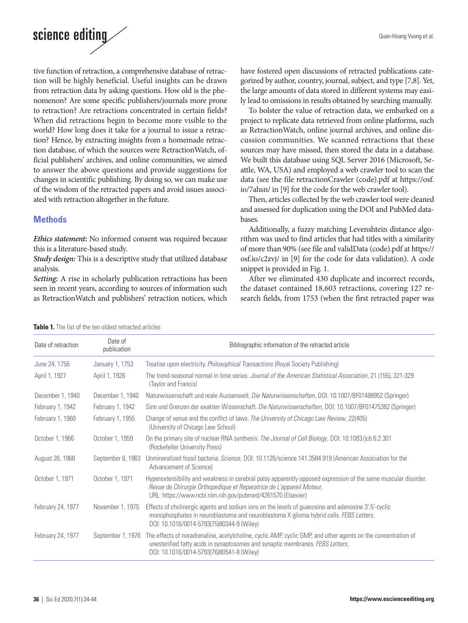tive function of retraction, a comprehensive database of retraction will be highly beneficial. Useful insights can be drawn from retraction data by asking questions. How old is the phenomenon? Are some specific publishers/journals more prone to retraction? Are retractions concentrated in certain fields? When did retractions begin to become more visible to the world? How long does it take for a journal to issue a retraction? Hence, by extracting insights from a homemade retraction database, of which the sources were RetractionWatch, official publishers' archives, and online communities, we aimed to answer the above questions and provide suggestions for changes in scientific publishing. By doing so, we can make use of the wisdom of the retracted papers and avoid issues associated with retraction altogether in the future.

### **Methods**

*Ethics statement***:** No informed consent was required because this is a literature-based study.

*Study design:* This is a descriptive study that utilized database analysis.

*Setting:* A rise in scholarly publication retractions has been seen in recent years, according to sources of information such as RetractionWatch and publishers' retraction notices, which have fostered open discussions of retracted publications categorized by author, country, journal, subject, and type [7,8]. Yet, the large amounts of data stored in different systems may easily lead to omissions in results obtained by searching manually.

To bolster the value of retraction data, we embarked on a project to replicate data retrieved from online platforms, such as RetractionWatch, online journal archives, and online discussion communities. We scanned retractions that these sources may have missed, then stored the data in a database. We built this database using SQL Server 2016 (Microsoft, Seattle, WA, USA) and employed a web crawler tool to scan the data (see the file retractionCrawler (code).pdf at [https://osf.](https://osf.io/7ahsn/) [io/7ahsn/](https://osf.io/7ahsn/) in [9] for the code for the web crawler tool).

Then, articles collected by the web crawler tool were cleaned and assessed for duplication using the DOI and PubMed databases.

Additionally, a fuzzy matching Levenshtein distance algorithm was used to find articles that had titles with a similarity of more than 90% (see file and validData (code).pdf at [https://](https://osf.io/c2zvj/) [osf.io/c2zvj/](https://osf.io/c2zvj/) in [9] for the code for data validation). A code snippet is provided in Fig. 1.

After we eliminated 430 duplicate and incorrect records, the dataset contained 18,603 retractions, covering 127 research fields, from 1753 (when the first retracted paper was

### **Table 1.** The list of the ten oldest retracted articles

| Date of retraction | Date of<br>publication | Bibliographic information of the retracted article                                                                                                                                                                                                    |  |
|--------------------|------------------------|-------------------------------------------------------------------------------------------------------------------------------------------------------------------------------------------------------------------------------------------------------|--|
| June 24, 1756      | January 1, 1753        | Treatise upon electricity. Philosophical Transactions (Royal Society Publishing)                                                                                                                                                                      |  |
| April 1, 1927      | April 1, 1926          | The trend-seasonal normal in time series. Journal of the American Statistical Association, 21 (155), 321-329<br>(Taylor and Francis)                                                                                                                  |  |
| December 1, 1940   | December 1, 1940       | Naturwissenschaft und reale Aussenwelt. Die Naturwissenschaften, DOI: 10.1007/BF01488952 (Springer)                                                                                                                                                   |  |
| February 1, 1942   | February 1, 1942       | Sinn und Grenzen der exakten Wissenschaft. Die Naturwissenschaften, DOI: 10.1007/BF01475382 (Springer)                                                                                                                                                |  |
| February 1, 1960   | February 1, 1955       | Change of venue and the conflict of laws. The University of Chicago Law Review, 22(405)<br>(University of Chicago Law School)                                                                                                                         |  |
| October 1, 1966    | October 1, 1959        | On the primary site of nuclear RNA synthesis. The Journal of Cell Biology, DOI: 10.1083/jcb.6.2.301<br>(Rockefeller University Press)                                                                                                                 |  |
| August 26, 1968    | September 6, 1963      | Unmineralized fossil bacteria. <i>Science,</i> DOI: 10.1126/science.141.3584.919 (American Association for the<br>Advancement of Science)                                                                                                             |  |
| October 1, 1971    | October 1, 1971        | Hyperextensibility and weakness in cerebral palsy apparently opposed expression of the same muscular disorder.<br>Revue de Chirurgie Orthopedique et Reparatrice de L'appareil Moteur,<br>URL: https://www.ncbi.nlm.nih.gov/pubmed/4261570 (Elsevier) |  |
| February 24, 1977  | November 1, 1975       | Effects of cholinergic agents and sodium ions on the levels of guanosine and adenosine 3':5'-cyclic<br>monophosphates in neuroblastoma and neuroblastoma X glioma hybrid cells. FEBS Letters,<br>DOI: 10.1016/0014-5793(75)80344-9 (Wiley)            |  |
| February 24, 1977  | September 1, 1976      | The effects of noradrenaline, acetylcholine, cyclic AMP, cyclic GMP, and other agents on the concentration of<br>unesterified fatty acids in synaptosomes and synaptic membranes. FEBS Letters,<br>DOI: 10.1016/0014-5793(76)80541-8 (Wiley)          |  |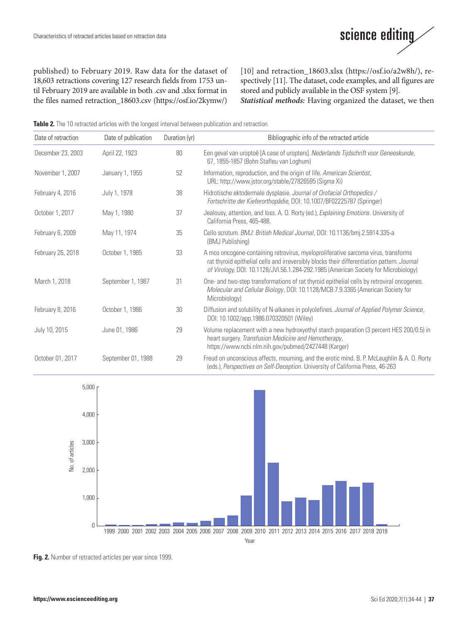

published) to February 2019. Raw data for the dataset of 18,603 retractions covering 127 research fields from 1753 until February 2019 are available in both .csv and .xlsx format in the files named retraction\_18603.csv (https://osf.io/2kymw/)

[10] and retraction\_18603.xlsx (https://osf.io/a2w8h/), respectively [11]. The dataset, code examples, and all figures are stored and publicly available in the OSF system [9]. *Statistical methods:* Having organized the dataset, we then

**Table 2.** The 10 retracted articles with the longest interval between publication and retraction

| Date of retraction | Date of publication | Duration (yr) | Bibliographic info of the retracted article                                                                                                                                                                                                                              |
|--------------------|---------------------|---------------|--------------------------------------------------------------------------------------------------------------------------------------------------------------------------------------------------------------------------------------------------------------------------|
| December 23, 2003  | April 22, 1923      | 80            | Een geval van uroptoë [A case of uropters]. Nederlands Tijdschrift voor Geneeskunde,<br>67, 1855-1857 (Bohn Stafleu van Loghum)                                                                                                                                          |
| November 1, 2007   | January 1, 1955     | 52            | Information, reproduction, and the origin of life. American Scientist,<br>URL: http://www.jstor.org/stable/27826595 (Sigma Xi)                                                                                                                                           |
| February 4, 2016   | July 1, 1978        | 38            | Hidrotische ektodermale dysplasie. Journal of Orofacial Orthopedics /<br>Fortschritte der Kieferorthopädie, DOI: 10.1007/BF02225787 (Springer)                                                                                                                           |
| October 1, 2017    | May 1, 1980         | 37            | Jealousy, attention, and loss. A. O. Rorty (ed.), Explaining Emotions. University of<br>California Press, 465-488.                                                                                                                                                       |
| February 6, 2009   | May 11, 1974        | 35            | Cello scrotum. BMJ: British Medical Journal, DOI: 10.1136/bmj.2.5914.335-a<br>(BMJ Publishing)                                                                                                                                                                           |
| February 26, 2018  | October 1, 1985     | 33            | A mos oncogene-containing retrovirus, myeloproliferative sarcoma virus, transforms<br>rat thyroid epithelial cells and irreversibly blocks their differentiation pattern. Journal<br>of Virology, DOI: 10.1128/JVI.56.1.284-292.1985 (American Society for Microbiology) |
| March 1, 2018      | September 1, 1987   | 31            | One- and two-step transformations of rat thyroid epithelial cells by retroviral oncogenes.<br>Molecular and Cellular Biology, DOI: 10.1128/MCB.7.9.3365 (American Society for<br>Microbiology)                                                                           |
| February 8, 2016   | October 1, 1986     | 30            | Diffusion and solubility of N-alkanes in polyolefines. Journal of Applied Polymer Science,<br>DOI: 10.1002/app.1986.070320501 (Wiley)                                                                                                                                    |
| July 10, 2015      | June 01, 1986       | 29            | Volume replacement with a new hydroxyethyl starch preparation (3 percent HES 200/0.5) in<br>heart surgery. Transfusion Medicine and Hemotherapy,<br>https://www.ncbi.nlm.nih.gov/pubmed/2427448 (Karger)                                                                 |
| October 01, 2017   | September 01, 1988  | 29            | Freud on unconscious affects, mourning, and the erotic mind. B. P. McLaughlin & A. O. Rorty<br>(eds.), Perspectives on Self-Deception. University of California Press, 46-263                                                                                            |



**Fig. 2.** Number of retracted articles per year since 1999.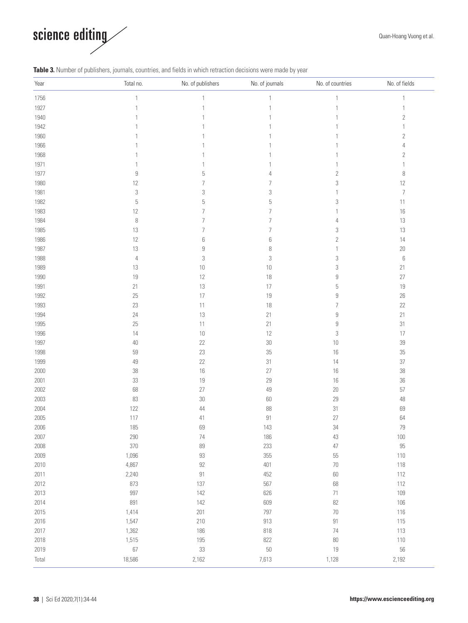Table 3. Number of publishers, journals, countries, and fields in which retraction decisions were made by year

| Year   | Total no.    | No. of publishers | No. of journals | No. of countries | No. of fields            |
|--------|--------------|-------------------|-----------------|------------------|--------------------------|
| 1756   | $\mathbf{1}$ | 1                 | $\mathbf{1}$    | $\mathbf{1}$     | $\mathbf{1}$             |
| 1927   |              | $\mathbf{1}$      | 1               | 1                | 1                        |
| 1940   |              | $\mathbf{1}$      | 1               | 1                | $\sqrt{2}$               |
| 1942   |              | 1                 |                 |                  | $\mathbf{1}$             |
| 1960   |              | 1                 |                 |                  | $\sqrt{2}$               |
| 1966   |              | 1                 |                 |                  | 4                        |
| 1968   |              | 1                 |                 |                  | $\sqrt{2}$               |
| 1971   |              | 1                 | 1               | 1                | 1                        |
| 1977   | $\mathsf g$  | 5                 | 4               | $\sqrt{2}$       | $\, 8$                   |
| 1980   | 12           | 7                 | $\overline{7}$  | 3                | $12\,$                   |
| 1981   | 3            | $\sqrt{3}$        | 3               | 1                | $\overline{\mathcal{I}}$ |
| 1982   | $\mathbf 5$  | 5                 | 5               | 3                | $11\,$                   |
| 1983   | 12           | 7                 | 7               | 1                | $16\,$                   |
| 1984   | $\, 8$       | 7                 | $\overline{7}$  | 4                | 13                       |
| 1985   | 13           | 7                 | $\overline{7}$  | 3                | 13                       |
| 1986   | 12           | $\,6$             | 6               | $\sqrt{2}$       | 14                       |
| 1987   | 13           | $\mathsf g$       | 8               | 1                | $20\,$                   |
| 1988   | $\sqrt{4}$   | 3                 | 3               | 3                | $\,6\,$                  |
| 1989   | 13           | $10\,$            | $10$            | 3                | 21                       |
| 1990   | 19           | 12                | $18\,$          | 9                | $27\,$                   |
| 1991   | 21           | 13                | 17              | 5                | $19$                     |
| 1992   | 25           | 17                | $19$            | 9                | $26\,$                   |
| 1993   | 23           | 11                | $18\,$          | $\overline{7}$   | 22                       |
| 1994   | 24           | 13                | $21\,$          | 9                | 21                       |
| 1995   | 25           | 11                | 21              | 9                | 31                       |
| 1996   | 14           | $10\,$            | 12              | 3                | $17\,$                   |
| 1997   | 40           | 22                | $30\,$          | 10               | $39\,$                   |
| 1998   | 59           | 23                | $35\,$          | 16               | $35\,$                   |
| 1999   | 49           | 22                | 31              | 14               | $37\,$                   |
| 2000   | 38           | $16\,$            | 27              | 16               | $38\,$                   |
| 2001   | 33           | 19                | 29              | 16               | $36\,$                   |
| 2002   | 68           | 27                | 49              | 20               | 57                       |
| 2003   | 83           | $30\,$            | 60              | 29               | $48\,$                   |
| 2004   | 122          | 44                | 88              | 31               | 69                       |
| 2005   | 117          | 41                | 91              | 27               | 64                       |
| 2006   | $185\,$      | 69                | $143\,$         | $34\,$           | $79$                     |
| 2007   | 290          | 74                | 186             | $43\,$           | $100\,$                  |
| 2008   | 370          | 89                | 233             | 47               | 95                       |
| 2009   | 1,096        | $93\,$            | 355             | 55               | 110                      |
| $2010$ | 4,867        | 92                | 401             | $70$             | 118                      |
| 2011   | 2,240        | $91\,$            | 452             | 60               | 112                      |
| 2012   | 873          | 137               | 567             | 68               | 112                      |
| 2013   | 997          | 142               | 626             | $71\,$           | 109                      |
| 2014   | 891          | 142               | 609             | 82               | 106                      |
| 2015   | 1,414        | $201$             | 797             | $70\,$           | 116                      |
| 2016   | 1,547        | $210$             | 913             | $91\,$           | 115                      |
| 2017   | 1,362        | 186               | 818             | 74               | 113                      |
| 2018   | 1,515        | 195               | 822             | 80               | 110                      |
| 2019   | 67           | 33                | $50\,$          | 19               | $56\,$                   |
| Total  | 18,586       | 2,162             | 7,613           | 1,128            | 2,192                    |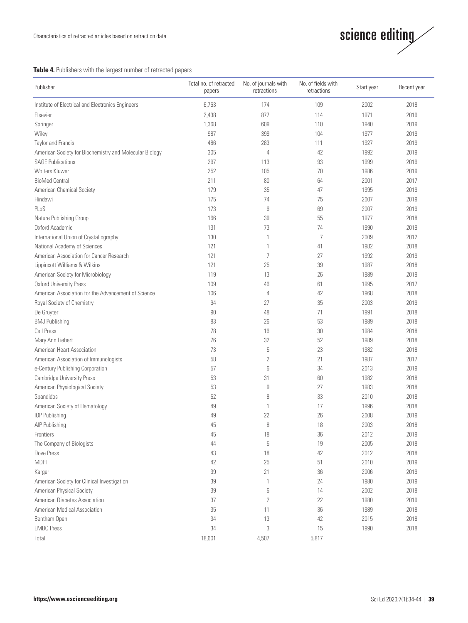

### **Table 4.** Publishers with the largest number of retracted papers

| Publisher                                               | Total no. of retracted<br>papers | No. of journals with<br>retractions | No. of fields with<br>retractions | Start year | Recent year |
|---------------------------------------------------------|----------------------------------|-------------------------------------|-----------------------------------|------------|-------------|
| Institute of Electrical and Electronics Engineers       | 6,763                            | 174                                 | 109                               | 2002       | 2018        |
| Elsevier                                                | 2,438                            | 877                                 | 114                               | 1971       | 2019        |
| Springer                                                | 1,368                            | 609                                 | 110                               | 1940       | 2019        |
| Wiley                                                   | 987                              | 399                                 | 104                               | 1977       | 2019        |
| Taylor and Francis                                      | 486                              | 283                                 | 111                               | 1927       | 2019        |
| American Society for Biochemistry and Molecular Biology | 305                              | 4                                   | 42                                | 1992       | 2019        |
| <b>SAGE Publications</b>                                | 297                              | 113                                 | 93                                | 1999       | 2019        |
| Wolters Kluwer                                          | 252                              | 105                                 | 70                                | 1986       | 2019        |
| <b>BioMed Central</b>                                   | 211                              | 80                                  | 64                                | 2001       | 2017        |
| American Chemical Society                               | 179                              | 35                                  | 47                                | 1995       | 2019        |
| Hindawi                                                 | 175                              | 74                                  | 75                                | 2007       | 2019        |
| PLoS                                                    | 173                              | 6                                   | 69                                | 2007       | 2019        |
| Nature Publishing Group                                 | 166                              | 39                                  | 55                                | 1977       | 2018        |
| Oxford Academic                                         | 131                              | 73                                  | 74                                | 1990       | 2019        |
| International Union of Crystallography                  | 130                              | 1                                   | 7                                 | 2009       | 2012        |
| National Academy of Sciences                            | 121                              | 1                                   | 41                                | 1982       | 2018        |
| American Association for Cancer Research                | 121                              | 7                                   | 27                                | 1992       | 2019        |
| Lippincott Williams & Wilkins                           | 121                              | 25                                  | 39                                | 1987       | 2018        |
| American Society for Microbiology                       | 119                              | 13                                  | 26                                | 1989       | 2019        |
| <b>Oxford University Press</b>                          | 109                              | 46                                  | 61                                | 1995       | 2017        |
| American Association for the Advancement of Science     | 106                              | 4                                   | 42                                | 1968       | 2018        |
| Royal Society of Chemistry                              | 94                               | 27                                  | 35                                | 2003       | 2019        |
| De Gruyter                                              | 90                               | 48                                  | 71                                | 1991       | 2018        |
| <b>BMJ</b> Publishing                                   | 83                               | 26                                  | 53                                | 1989       | 2018        |
| <b>Cell Press</b>                                       | 78                               | 16                                  | 30                                | 1984       | 2018        |
| Mary Ann Liebert                                        | 76                               | 32                                  | 52                                | 1989       | 2018        |
| American Heart Association                              | 73                               | 5                                   | 23                                | 1982       | 2018        |
|                                                         | 58                               |                                     |                                   |            | 2017        |
| American Association of Immunologists                   | 57                               | $\overline{2}$<br>6                 | 21<br>34                          | 1987       | 2019        |
| e-Century Publishing Corporation                        |                                  |                                     |                                   | 2013       |             |
| <b>Cambridge University Press</b>                       | 53                               | 31                                  | 60                                | 1982       | 2018        |
| American Physiological Society                          | 53                               | 9                                   | 27                                | 1983       | 2018        |
| Spandidos                                               | 52                               | 8                                   | 33                                | 2010       | 2018        |
| American Society of Hematology                          | 49                               | 1                                   | 17                                | 1996       | 2018        |
| <b>IOP Publishing</b>                                   | 49                               | 22                                  | 26                                | 2008       | 2019        |
| AIP Publishing                                          | 45                               | 8                                   | 18                                | 2003       | 2018        |
| Frontiers                                               | 45                               | 18                                  | 36                                | 2012       | 2019        |
| The Company of Biologists                               | 44                               | 5                                   | 19                                | 2005       | 2018        |
| Dove Press                                              | 43                               | 18                                  | 42                                | 2012       | 2018        |
| <b>MDPI</b>                                             | 42                               | 25                                  | 51                                | 2010       | 2019        |
| Karger                                                  | 39                               | 21                                  | 36                                | 2006       | 2019        |
| American Society for Clinical Investigation             | 39                               | 1                                   | 24                                | 1980       | 2019        |
| American Physical Society                               | 39                               | 6                                   | 14                                | 2002       | 2018        |
| American Diabetes Association                           | 37                               | $\overline{2}$                      | 22                                | 1980       | 2019        |
| American Medical Association                            | 35                               | 11                                  | 36                                | 1989       | 2018        |
| Bentham Open                                            | 34                               | 13                                  | 42                                | 2015       | 2018        |
| <b>EMBO Press</b>                                       | 34                               | 3                                   | 15                                | 1990       | 2018        |
| Total                                                   | 18,601                           | 4,507                               | 5,817                             |            |             |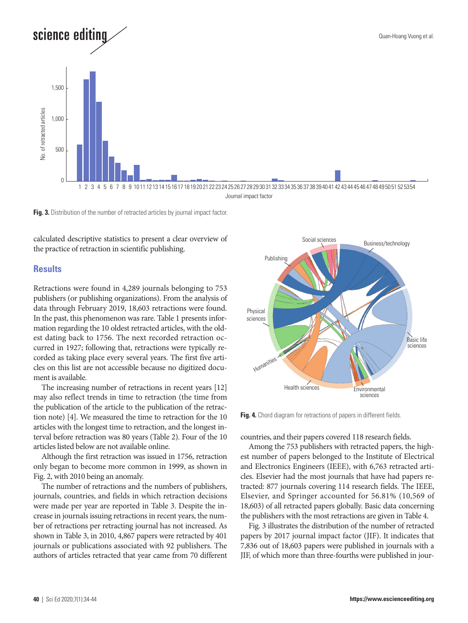

**Fig. 3.** Distribution of the number of retracted articles by journal impact factor.

calculated descriptive statistics to present a clear overview of the practice of retraction in scientific publishing.

### **Results**

Retractions were found in 4,289 journals belonging to 753 publishers (or publishing organizations). From the analysis of data through February 2019, 18,603 retractions were found. In the past, this phenomenon was rare. Table 1 presents information regarding the 10 oldest retracted articles, with the oldest dating back to 1756. The next recorded retraction occurred in 1927; following that, retractions were typically recorded as taking place every several years. The first five articles on this list are not accessible because no digitized document is available.

The increasing number of retractions in recent years [12] may also reflect trends in time to retraction (the time from the publication of the article to the publication of the retraction note) [4]. We measured the time to retraction for the 10 articles with the longest time to retraction, and the longest interval before retraction was 80 years (Table 2). Four of the 10 articles listed below are not available online.

Although the first retraction was issued in 1756, retraction only began to become more common in 1999, as shown in Fig. 2, with 2010 being an anomaly.

The number of retractions and the numbers of publishers, journals, countries, and fields in which retraction decisions were made per year are reported in Table 3. Despite the increase in journals issuing retractions in recent years, the number of retractions per retracting journal has not increased. As shown in Table 3, in 2010, 4,867 papers were retracted by 401 journals or publications associated with 92 publishers. The authors of articles retracted that year came from 70 different



**Fig. 4.** Chord diagram for retractions of papers in different fields.

countries, and their papers covered 118 research fields.

Among the 753 publishers with retracted papers, the highest number of papers belonged to the Institute of Electrical and Electronics Engineers (IEEE), with 6,763 retracted articles. Elsevier had the most journals that have had papers retracted: 877 journals covering 114 research fields. The IEEE, Elsevier, and Springer accounted for 56.81% (10,569 of 18,603) of all retracted papers globally. Basic data concerning the publishers with the most retractions are given in Table 4.

Fig. 3 illustrates the distribution of the number of retracted papers by 2017 journal impact factor (JIF). It indicates that 7,836 out of 18,603 papers were published in journals with a JIF, of which more than three-fourths were published in jour-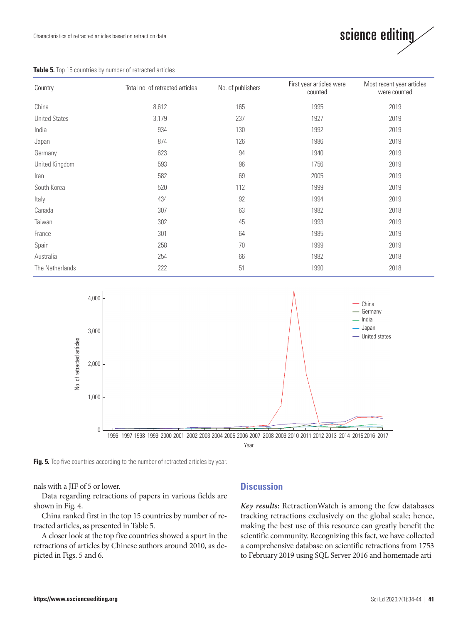

|  |  | Table 5. Top 15 countries by number of retracted articles |  |  |  |  |  |
|--|--|-----------------------------------------------------------|--|--|--|--|--|
|--|--|-----------------------------------------------------------|--|--|--|--|--|

| Country              | Total no. of retracted articles | No. of publishers | First year articles were<br>counted | Most recent year articles<br>were counted |
|----------------------|---------------------------------|-------------------|-------------------------------------|-------------------------------------------|
| China                | 8,612                           | 165               | 1995                                | 2019                                      |
| <b>United States</b> | 3,179                           | 237               | 1927                                | 2019                                      |
| India                | 934                             | 130               | 1992                                | 2019                                      |
| Japan                | 874                             | 126               | 1986                                | 2019                                      |
| Germany              | 623                             | 94                | 1940                                | 2019                                      |
| United Kingdom       | 593                             | 96                | 1756                                | 2019                                      |
| Iran                 | 582                             | 69                | 2005                                | 2019                                      |
| South Korea          | 520                             | 112               | 1999                                | 2019                                      |
| Italy                | 434                             | 92                | 1994                                | 2019                                      |
| Canada               | 307                             | 63                | 1982                                | 2018                                      |
| Taiwan               | 302                             | 45                | 1993                                | 2019                                      |
| France               | 301                             | 64                | 1985                                | 2019                                      |
| Spain                | 258                             | 70                | 1999                                | 2019                                      |
| Australia            | 254                             | 66                | 1982                                | 2018                                      |
| The Netherlands      | 222                             | 51                | 1990                                | 2018                                      |



**Fig. 5.** Top five countries according to the number of retracted articles by year.

nals with a JIF of 5 or lower.

Data regarding retractions of papers in various fields are shown in Fig. 4.

China ranked first in the top 15 countries by number of retracted articles, as presented in Table 5.

A closer look at the top five countries showed a spurt in the retractions of articles by Chinese authors around 2010, as depicted in Figs. 5 and 6.

### **Discussion**

*Key results***:** RetractionWatch is among the few databases tracking retractions exclusively on the global scale; hence, making the best use of this resource can greatly benefit the scientific community. Recognizing this fact, we have collected a comprehensive database on scientific retractions from 1753 to February 2019 using SQL Server 2016 and homemade arti-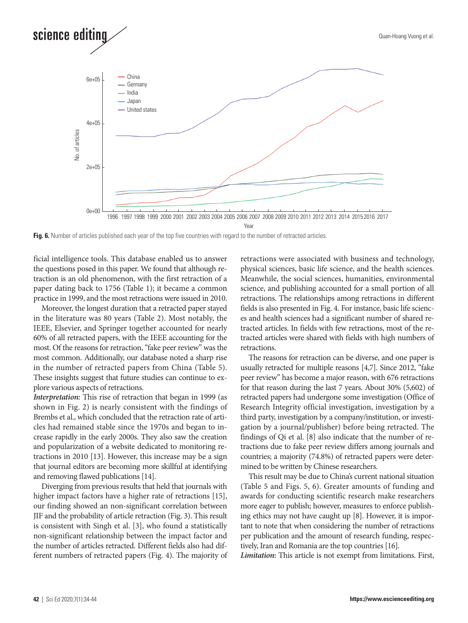

**Fig. 6.** Number of articles published each year of the top five countries with regard to the number of retracted articles.

ficial intelligence tools. This database enabled us to answer the questions posed in this paper. We found that although retraction is an old phenomenon, with the first retraction of a paper dating back to 1756 (Table 1); it became a common practice in 1999, and the most retractions were issued in 2010.

Moreover, the longest duration that a retracted paper stayed in the literature was 80 years (Table 2). Most notably, the IEEE, Elsevier, and Springer together accounted for nearly 60% of all retracted papers, with the IEEE accounting for the most. Of the reasons for retraction, "fake peer review" was the most common. Additionally, our database noted a sharp rise in the number of retracted papers from China (Table 5). These insights suggest that future studies can continue to explore various aspects of retractions.

*Interpretation:* This rise of retraction that began in 1999 (as shown in Fig. 2) is nearly consistent with the findings of Brembs et al., which concluded that the retraction rate of articles had remained stable since the 1970s and began to increase rapidly in the early 2000s. They also saw the creation and popularization of a website dedicated to monitoring retractions in 2010 [13]. However, this increase may be a sign that journal editors are becoming more skillful at identifying and removing flawed publications [14].

Diverging from previous results that held that journals with higher impact factors have a higher rate of retractions [15], our finding showed an non-significant correlation between JIF and the probability of article retraction (Fig. 3). This result is consistent with Singh et al. [3], who found a statistically non-significant relationship between the impact factor and the number of articles retracted. Different fields also had different numbers of retracted papers (Fig. 4). The majority of retractions were associated with business and technology, physical sciences, basic life science, and the health sciences. Meanwhile, the social sciences, humanities, environmental science, and publishing accounted for a small portion of all retractions. The relationships among retractions in different fields is also presented in Fig. 4. For instance, basic life sciences and health sciences had a significant number of shared retracted articles. In fields with few retractions, most of the retracted articles were shared with fields with high numbers of retractions.

The reasons for retraction can be diverse, and one paper is usually retracted for multiple reasons [4,7]. Since 2012, "fake peer review" has become a major reason, with 676 retractions for that reason during the last 7 years. About 30% (5,602) of retracted papers had undergone some investigation (Office of Research Integrity official investigation, investigation by a third party, investigation by a company/institution, or investigation by a journal/publisher) before being retracted. The findings of Qi et al. [8] also indicate that the number of retractions due to fake peer review differs among journals and countries; a majority (74.8%) of retracted papers were determined to be written by Chinese researchers.

This result may be due to China's current national situation (Table 5 and Figs. 5, 6). Greater amounts of funding and awards for conducting scientific research make researchers more eager to publish; however, measures to enforce publishing ethics may not have caught up [8]. However, it is important to note that when considering the number of retractions per publication and the amount of research funding, respectively, Iran and Romania are the top countries [16].

*Limitation***:** This article is not exempt from limitations. First,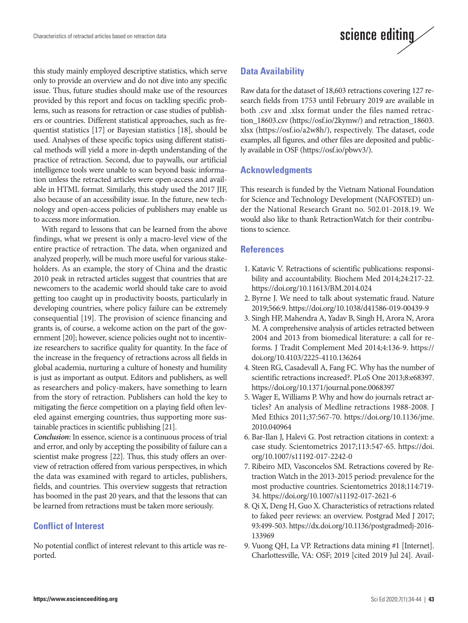

this study mainly employed descriptive statistics, which serve only to provide an overview and do not dive into any specific issue. Thus, future studies should make use of the resources provided by this report and focus on tackling specific problems, such as reasons for retraction or case studies of publishers or countries. Different statistical approaches, such as frequentist statistics [17] or Bayesian statistics [18], should be used. Analyses of these specific topics using different statistical methods will yield a more in-depth understanding of the practice of retraction. Second, due to paywalls, our artificial intelligence tools were unable to scan beyond basic information unless the retracted articles were open-access and available in HTML format. Similarly, this study used the 2017 JIF, also because of an accessibility issue. In the future, new technology and open-access policies of publishers may enable us to access more information.

With regard to lessons that can be learned from the above findings, what we present is only a macro-level view of the entire practice of retraction. The data, when organized and analyzed properly, will be much more useful for various stakeholders. As an example, the story of China and the drastic 2010 peak in retracted articles suggest that countries that are newcomers to the academic world should take care to avoid getting too caught up in productivity boosts, particularly in developing countries, where policy failure can be extremely consequential [19]. The provision of science financing and grants is, of course, a welcome action on the part of the government [20]; however, science policies ought not to incentivize researchers to sacrifice quality for quantity. In the face of the increase in the frequency of retractions across all fields in global academia, nurturing a culture of honesty and humility is just as important as output. Editors and publishers, as well as researchers and policy-makers, have something to learn from the story of retraction. Publishers can hold the key to mitigating the fierce competition on a playing field often leveled against emerging countries, thus supporting more sustainable practices in scientific publishing [21].

*Conclusion***:** In essence, science is a continuous process of trial and error, and only by accepting the possibility of failure can a scientist make progress [22]. Thus, this study offers an overview of retraction offered from various perspectives, in which the data was examined with regard to articles, publishers, fields, and countries. This overview suggests that retraction has boomed in the past 20 years, and that the lessons that can be learned from retractions must be taken more seriously.

### **Conflict of Interest**

No potential conflict of interest relevant to this article was reported.

### **Data Availability**

Raw data for the dataset of 18,603 retractions covering 127 research fields from 1753 until February 2019 are available in both .csv and .xlsx format under the files named retraction\_18603.csv (https://osf.io/2kymw/) and retraction\_18603. xlsx (https://osf.io/a2w8h/), respectively. The dataset, code examples, all figures, and other files are deposited and publicly available in OSF (https://osf.io/pbwv3/).

### **Acknowledgments**

This research is funded by the Vietnam National Foundation for Science and Technology Development (NAFOSTED) under the National Research Grant no. 502.01-2018.19. We would also like to thank RetractionWatch for their contributions to science.

### **References**

- 1. Katavic V. Retractions of scientific publications: responsibility and accountability. Biochem Med 2014;24:217-22. <https://doi.org/10.11613/BM.2014.024>
- 2. Byrne J. We need to talk about systematic fraud. Nature 2019;566:9. <https://doi.org/10.1038/d41586-019-00439-9>
- 3. Singh HP, Mahendra A, Yadav B, Singh H, Arora N, Arora M. A comprehensive analysis of articles retracted between 2004 and 2013 from biomedical literature: a call for reforms. J Tradit Complement Med 2014;4:136-9. [https://](https://doi.org/10.4103/2225-4110.136264) [doi.org/10.4103/2225-4110.136264](https://doi.org/10.4103/2225-4110.136264)
- 4. Steen RG, Casadevall A, Fang FC. Why has the number of scientific retractions increased?. PLoS One 2013;8:e68397. https://doi.org/10.1371/journal.pone.0068397
- 5. Wager E, Williams P. Why and how do journals retract articles? An analysis of Medline retractions 1988-2008. J Med Ethics 2011;37:567-70. [https://doi.org/10.1136/jme.](https://doi.org/10.1136/jme.2010.040964)  [2010.040964](https://doi.org/10.1136/jme.2010.040964)
- 6. Bar-Ilan J, Halevi G. Post retraction citations in context: a case study. Scientometrics 2017;113:547-65. [https://doi.](https://doi.org/10.1007/s11192-017-2242-0) [org/10.1007/s11192-017-2242-0](https://doi.org/10.1007/s11192-017-2242-0)
- 7. Ribeiro MD, Vasconcelos SM. Retractions covered by Retraction Watch in the 2013-2015 period: prevalence for the most productive countries. Scientometrics 2018;114:719- 34.<https://doi.org/10.1007/s11192-017-2621-6>
- 8. Qi X, Deng H, Guo X. Characteristics of retractions related to faked peer reviews: an overview. Postgrad Med J 2017; 93:499-503. [https://dx.doi.org/10.1136/postgradmedj-2016-](https://dx.doi.org/10.1136/postgradmedj-2016-133969)  [133969](https://dx.doi.org/10.1136/postgradmedj-2016-133969)
- 9. Vuong QH, La VP. Retractions data mining #1 [Internet]. Charlottesville, VA: OSF; 2019 [cited 2019 Jul 24]. Avail-